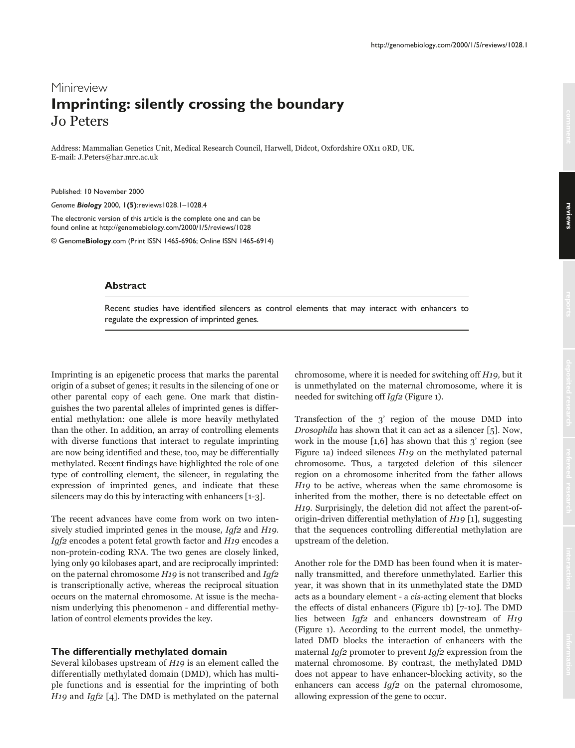# Minireview **Imprinting: silently crossing the boundary** Jo Peters

Address: Mammalian Genetics Unit, Medical Research Council, Harwell, Didcot, Oxfordshire OX11 oRD, UK. E-mail: J.Peters@har.mrc.ac.uk

Published: 10 November 2000

*Genome Biology* 2000, **1(5)**:reviews1028.1–1028.4

The electronic version of this article is the complete one and can be found online at http://genomebiology.com/2000/1/5/reviews/1028

© Genome**Biology**.com (Print ISSN 1465-6906; Online ISSN 1465-6914)

#### **Abstract**

Recent studies have identified silencers as control elements that may interact with enhancers to regulate the expression of imprinted genes.

Imprinting is an epigenetic process that marks the parental origin of a subset of genes; it results in the silencing of one or other parental copy of each gene. One mark that distinguishes the two parental alleles of imprinted genes is differential methylation: one allele is more heavily methylated than the other. In addition, an array of controlling elements with diverse functions that interact to regulate imprinting are now being identified and these, too, may be differentially methylated. Recent findings have highlighted the role of one type of controlling element, the silencer, in regulating the expression of imprinted genes, and indicate that these silencers may do this by interacting with enhancers [1-3].

The recent advances have come from work on two intensively studied imprinted genes in the mouse, Igf2 and H19. *Igf2* encodes a potent fetal growth factor and  $H$ 19 encodes a non-protein-coding RNA. The two genes are closely linked, lying only 90 kilobases apart, and are reciprocally imprinted: on the paternal chromosome  $H$ 19 is not transcribed and Igf2 is transcriptionally active, whereas the reciprocal situation occurs on the maternal chromosome. At issue is the mechanism underlying this phenomenon - and differential methylation of control elements provides the key.

#### **The differentially methylated domain**

Several kilobases upstream of  $H19$  is an element called the differentially methylated domain (DMD), which has multiple functions and is essential for the imprinting of both H19 and Igf2 [4]. The DMD is methylated on the paternal chromosome, where it is needed for switching off H19, but it is unmethylated on the maternal chromosome, where it is needed for switching off Igf2 (Figure 1).

Transfection of the  $3'$  region of the mouse  $\mathop{\rm DMD}$  into Drosophila has shown that it can act as a silencer [5]. Now, work in the mouse  $\left[1,6\right]$  has shown that this  $3'$  region (see Figure 1a) indeed silences  $H19$  on the methylated paternal chromosome. Thus, a targeted deletion of this silencer region on a chromosome inherited from the father allows *H19* to be active, whereas when the same chromosome is inherited from the mother, there is no detectable effect on H19. Surprisingly, the deletion did not affect the parent-oforigin-driven differential methylation of H19 [1], suggesting that the sequences controlling differential methylation are upstream of the deletion.

Another role for the DMD has been found when it is maternally transmitted, and therefore unmethylated. Earlier this year, it was shown that in its unmethylated state the DMD acts as a boundary element - a cis-acting element that blocks the effects of distal enhancers (Figure 1b) [7-10]. The DMD lies between *Igf2* and enhancers downstream of *H19* (Figure 1). According to the current model, the unmethylated DMD blocks the interaction of enhancers with the maternal Igf2 promoter to prevent Igf2 expression from the maternal chromosome. By contrast, the methylated DMD does not appear to have enhancer-blocking activity, so the enhancers can access  $Igf2$  on the paternal chromosome, allowing expression of the gene to occur.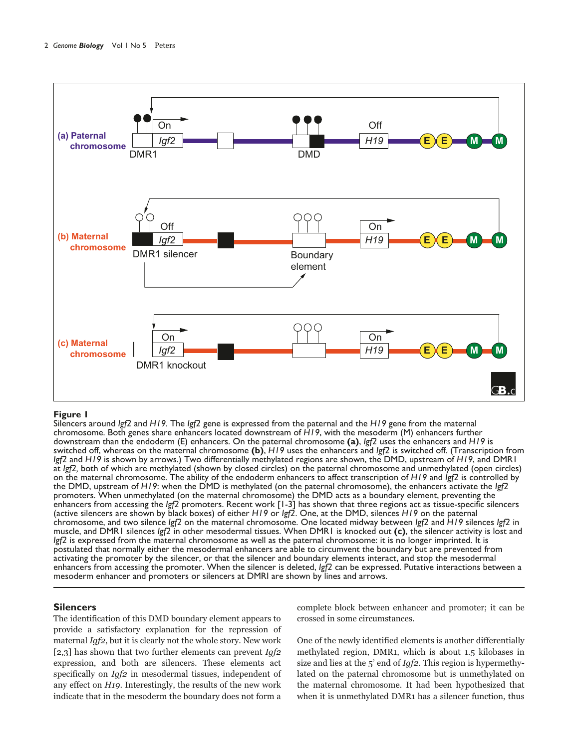

#### **Figure 1**

Silencers around *Igf2* and *H19.* The *Igf2* gene is expressed from the paternal and the *H19* gene from the maternal chromosome. Both genes share enhancers located downstream of *H19*, with the mesoderm (M) enhancers further downstream than the endoderm (E) enhancers. On the paternal chromosome **(a)**, *Igf2* uses the enhancers and *H19* is switched off, whereas on the maternal chromosome **(b)**, *H19* uses the enhancers and *Igf2* is switched off. (Transcription from *Igf2* and *H19* is shown by arrows.) Two differentially methylated regions are shown, the DMD, upstream of *H19*, and DMR1 at *Igf2,* both of which are methylated (shown by closed circles) on the paternal chromosome and unmethylated (open circles) on the maternal chromosome. The ability of the endoderm enhancers to affect transcription of *H19* and *Igf2* is controlled by the DMD, upstream of *H19*: when the DMD is methylated (on the paternal chromosome), the enhancers activate the *Igf2* promoters. When unmethylated (on the maternal chromosome) the DMD acts as a boundary element, preventing the enhancers from accessing the *Igf2* promoters. Recent work [1-3] has shown that three regions act as tissue-specific silencers (active silencers are shown by black boxes) of either *H19* or *Igf2*. One, at the DMD, silences *H19* on the paternal chromosome, and two silence *Igf2* on the maternal chromosome. One located midway between *Igf2* and *H19* silences *Igf2* in muscle, and DMR1 silences *Igf2* in other mesodermal tissues. When DMR1 is knocked out **(c)**, the silencer activity is lost and *Igf2* is expressed from the maternal chromosome as well as the paternal chromosome: it is no longer imprinted. It is postulated that normally either the mesodermal enhancers are able to circumvent the boundary but are prevented from activating the promoter by the silencer, or that the silencer and boundary elements interact, and stop the mesodermal enhancers from accessing the promoter. When the silencer is deleted, *Igf2* can be expressed. Putative interactions between a mesoderm enhancer and promoters or silencers at DMRI are shown by lines and arrows.

## **Silencers**

The identification of this DMD boundary element appears to provide a satisfactory explanation for the repression of maternal *Igf2*, but it is clearly not the whole story. New work [2,3] has shown that two further elements can prevent  $Igf2$ expression, and both are silencers. These elements act specifically on  $Igf2$  in mesodermal tissues, independent of any effect on H19. Interestingly, the results of the new work indicate that in the mesoderm the boundary does not form a complete block between enhancer and promoter; it can be crossed in some circumstances.

One of the newly identified elements is another differentially methylated region, DMR1, which is about 1.5 kilobases in size and lies at the 5' end of  $Igf$ 2. This region is hypermethylated on the paternal chromosome but is unmethylated on the maternal chromosome. It had been hypothesized that when it is unmethylated DMR1 has a silencer function, thus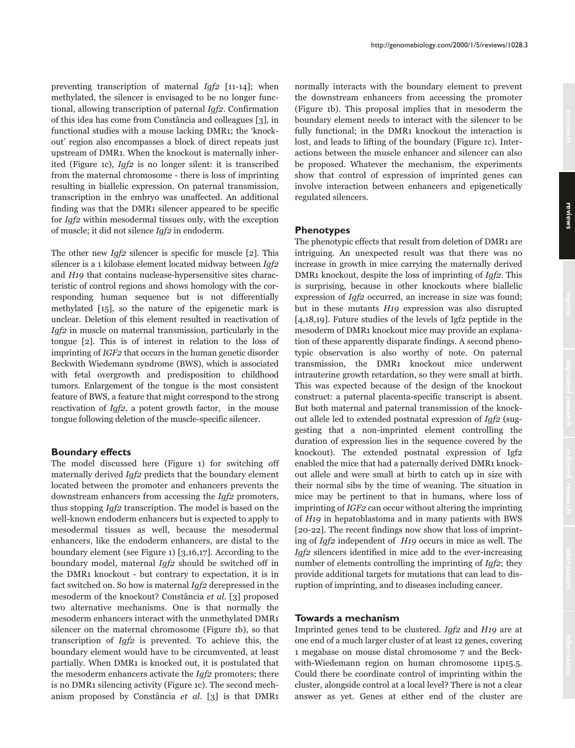preventing transcription of maternal  $Iqf2$  [11-14]; when methylated, the silencer is envisaged to be no longer functional, allowing transcription of paternal Igf2. Confirmation of this idea has come from Constância and colleagues [3], in functional studies with a mouse lacking DMR1; the 'knockout' region also encompasses a block of direct repeats just upstream of DMR1. When the knockout is maternally inherited (Figure 1c), *Iqf2* is no longer silent: it is transcribed from the maternal chromosome - there is loss of imprinting resulting in biallelic expression. On paternal transmission, transcription in the embryo was unaffected. An additional finding was that the DMR1 silencer appeared to be specific for *Iqf2* within mesodermal tissues only, with the exception of muscle; it did not silence Iqf2 in endoderm.

The other new  $Igf2$  silencer is specific for muscle [2]. This silencer is a 1 kilobase element located midway between Iqf2 and H19 that contains nuclease-hypersensitive sites characteristic of control regions and shows homology with the corresponding human sequence but is not differentially methylated [15], so the nature of the epigenetic mark is unclear. Deletion of this element resulted in reactivation of  $Iqf2$  in muscle on maternal transmission, particularly in the tongue [2]. This is of interest in relation to the loss of imprinting of IGF2 that occurs in the human genetic disorder Beckwith Wiedemann syndrome (BWS), which is associated with fetal overgrowth and predisposition to childhood tumors. Enlargement of the tongue is the most consistent feature of BWS, a feature that might correspond to the strong reactivation of *Igf2*, a potent growth factor, in the mouse tongue following deletion of the muscle-specific silencer.

#### **Boundary effects**

The model discussed here (Figure 1) for switching off maternally derived Igf2 predicts that the boundary element located between the promoter and enhancers prevents the downstream enhancers from accessing the *Iqf2* promoters, thus stopping *Igf2* transcription. The model is based on the well-known endoderm enhancers but is expected to apply to mesodermal tissues as well, because the mesodermal enhancers, like the endoderm enhancers, are distal to the boundary element (see Figure 1)  $[3,16,17]$ . According to the boundary model, maternal Igf2 should be switched off in the DMR1 knockout - but contrary to expectation, it is in fact switched on. So how is maternal *Igf2* derepressed in the mesoderm of the knockout? Constância et al. [3] proposed two alternative mechanisms. One is that normally the mesoderm enhancers interact with the unmethylated DMR1 silencer on the maternal chromosome (Figure 1b), so that transcription of  $Iqf2$  is prevented. To achieve this, the boundary element would have to be circumvented, at least partially. When DMR1 is knocked out, it is postulated that the mesoderm enhancers activate the Igf2 promoters; there is no DMR1 silencing activity (Figure 1c). The second mechanism proposed by Constância et al. [3] is that DMR1 normally interacts with the boundary element to prevent the downstream enhancers from accessing the promoter (Figure 1b). This proposal implies that in mesoderm the boundary element needs to interact with the silencer to be fully functional; in the DMR1 knockout the interaction is lost, and leads to lifting of the boundary (Figure 1c). Interactions between the muscle enhancer and silencer can also be proposed. Whatever the mechanism, the experiments show that control of expression of imprinted genes can involve interaction between enhancers and epigenetically regulated silencers.

### **Phenotypes**

The phenotypic effects that result from deletion of DMR1 are intriguing. An unexpected result was that there was no increase in growth in mice carrying the maternally derived DMR1 knockout, despite the loss of imprinting of *Igf2*. This is surprising, because in other knockouts where biallelic expression of  $Iqf2$  occurred, an increase in size was found; but in these mutants H19 expression was also disrupted  $[4,18,19]$ . Future studies of the levels of Igf<sub>2</sub> peptide in the mesoderm of DMR1 knockout mice may provide an explanation of these apparently disparate findings. A second phenotypic observation is also worthy of note. On paternal transmission, the DMR1 knockout mice underwent intrauterine growth retardation, so they were small at birth. This was expected because of the design of the knockout construct: a paternal placenta-specific transcript is absent. But both maternal and paternal transmission of the knockout allele led to extended postnatal expression of *Iqf2* (suggesting that a non-imprinted element controlling the duration of expression lies in the sequence covered by the knockout). The extended postnatal expression of Igf2 enabled the mice that had a paternally derived DMR1 knockout allele and were small at birth to catch up in size with their normal sibs by the time of weaning. The situation in mice may be pertinent to that in humans, where loss of imprinting of IGF2 can occur without altering the imprinting of H<sub>19</sub> in hepatoblastoma and in many patients with BWS [20-22]. The recent findings now show that loss of imprinting of *Igf2* independent of *H19* occurs in mice as well. The Igf2 silencers identified in mice add to the ever-increasing number of elements controlling the imprinting of *Iqf2*; they provide additional targets for mutations that can lead to disruption of imprinting, and to diseases including cancer.

#### Towards a mechanism

Imprinted genes tend to be clustered. Igf2 and H19 are at one end of a much larger cluster of at least 12 genes, covering 1 megabase on mouse distal chromosome 7 and the Beckwith-Wiedemann region on human chromosome 11p15.5. Could there be coordinate control of imprinting within the cluster, alongside control at a local level? There is not a clear answer as yet. Genes at either end of the cluster are